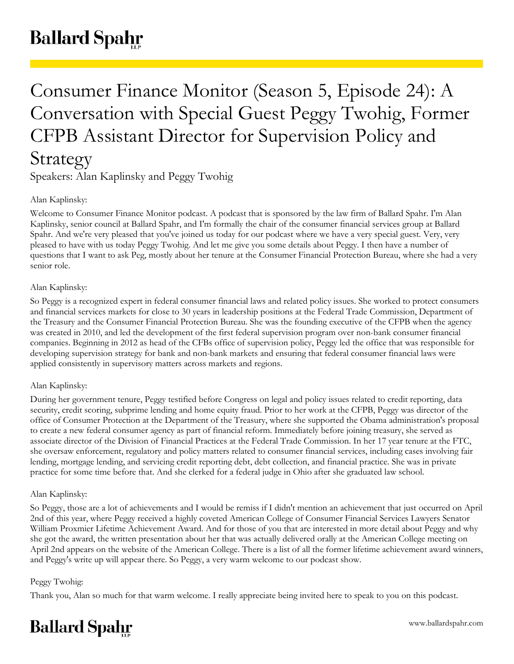# Consumer Finance Monitor (Season 5, Episode 24): A Conversation with Special Guest Peggy Twohig, Former CFPB Assistant Director for Supervision Policy and Strategy

Speakers: Alan Kaplinsky and Peggy Twohig

# Alan Kaplinsky:

Welcome to Consumer Finance Monitor podcast. A podcast that is sponsored by the law firm of Ballard Spahr. I'm Alan Kaplinsky, senior council at Ballard Spahr, and I'm formally the chair of the consumer financial services group at Ballard Spahr. And we're very pleased that you've joined us today for our podcast where we have a very special guest. Very, very pleased to have with us today Peggy Twohig. And let me give you some details about Peggy. I then have a number of questions that I want to ask Peg, mostly about her tenure at the Consumer Financial Protection Bureau, where she had a very senior role.

# Alan Kaplinsky:

So Peggy is a recognized expert in federal consumer financial laws and related policy issues. She worked to protect consumers and financial services markets for close to 30 years in leadership positions at the Federal Trade Commission, Department of the Treasury and the Consumer Financial Protection Bureau. She was the founding executive of the CFPB when the agency was created in 2010, and led the development of the first federal supervision program over non-bank consumer financial companies. Beginning in 2012 as head of the CFBs office of supervision policy, Peggy led the office that was responsible for developing supervision strategy for bank and non-bank markets and ensuring that federal consumer financial laws were applied consistently in supervisory matters across markets and regions.

# Alan Kaplinsky:

During her government tenure, Peggy testified before Congress on legal and policy issues related to credit reporting, data security, credit scoring, subprime lending and home equity fraud. Prior to her work at the CFPB, Peggy was director of the office of Consumer Protection at the Department of the Treasury, where she supported the Obama administration's proposal to create a new federal consumer agency as part of financial reform. Immediately before joining treasury, she served as associate director of the Division of Financial Practices at the Federal Trade Commission. In her 17 year tenure at the FTC, she oversaw enforcement, regulatory and policy matters related to consumer financial services, including cases involving fair lending, mortgage lending, and servicing credit reporting debt, debt collection, and financial practice. She was in private practice for some time before that. And she clerked for a federal judge in Ohio after she graduated law school.

## Alan Kaplinsky:

So Peggy, those are a lot of achievements and I would be remiss if I didn't mention an achievement that just occurred on April 2nd of this year, where Peggy received a highly coveted American College of Consumer Financial Services Lawyers Senator William Proxmier Lifetime Achievement Award. And for those of you that are interested in more detail about Peggy and why she got the award, the written presentation about her that was actually delivered orally at the American College meeting on April 2nd appears on the website of the American College. There is a list of all the former lifetime achievement award winners, and Peggy's write up will appear there. So Peggy, a very warm welcome to our podcast show.

# Peggy Twohig:

Thank you, Alan so much for that warm welcome. I really appreciate being invited here to speak to you on this podcast.

# **Ballard Spahr**

www.ballardspahr.com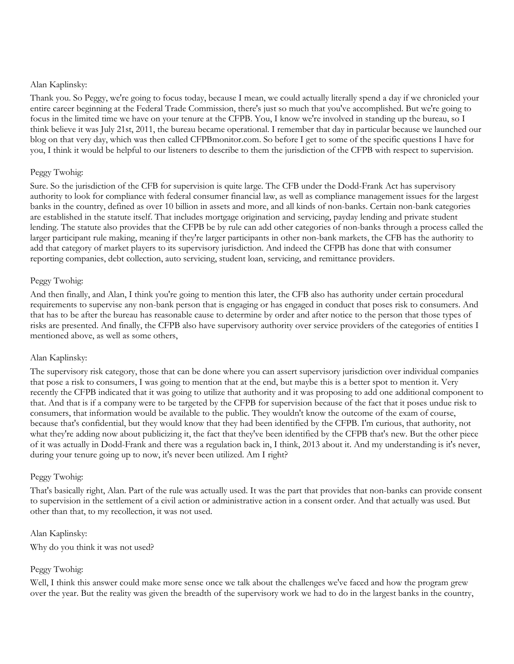Thank you. So Peggy, we're going to focus today, because I mean, we could actually literally spend a day if we chronicled your entire career beginning at the Federal Trade Commission, there's just so much that you've accomplished. But we're going to focus in the limited time we have on your tenure at the CFPB. You, I know we're involved in standing up the bureau, so I think believe it was July 21st, 2011, the bureau became operational. I remember that day in particular because we launched our blog on that very day, which was then called CFPBmonitor.com. So before I get to some of the specific questions I have for you, I think it would be helpful to our listeners to describe to them the jurisdiction of the CFPB with respect to supervision.

#### Peggy Twohig:

Sure. So the jurisdiction of the CFB for supervision is quite large. The CFB under the Dodd-Frank Act has supervisory authority to look for compliance with federal consumer financial law, as well as compliance management issues for the largest banks in the country, defined as over 10 billion in assets and more, and all kinds of non-banks. Certain non-bank categories are established in the statute itself. That includes mortgage origination and servicing, payday lending and private student lending. The statute also provides that the CFPB be by rule can add other categories of non-banks through a process called the larger participant rule making, meaning if they're larger participants in other non-bank markets, the CFB has the authority to add that category of market players to its supervisory jurisdiction. And indeed the CFPB has done that with consumer reporting companies, debt collection, auto servicing, student loan, servicing, and remittance providers.

#### Peggy Twohig:

And then finally, and Alan, I think you're going to mention this later, the CFB also has authority under certain procedural requirements to supervise any non-bank person that is engaging or has engaged in conduct that poses risk to consumers. And that has to be after the bureau has reasonable cause to determine by order and after notice to the person that those types of risks are presented. And finally, the CFPB also have supervisory authority over service providers of the categories of entities I mentioned above, as well as some others,

## Alan Kaplinsky:

The supervisory risk category, those that can be done where you can assert supervisory jurisdiction over individual companies that pose a risk to consumers, I was going to mention that at the end, but maybe this is a better spot to mention it. Very recently the CFPB indicated that it was going to utilize that authority and it was proposing to add one additional component to that. And that is if a company were to be targeted by the CFPB for supervision because of the fact that it poses undue risk to consumers, that information would be available to the public. They wouldn't know the outcome of the exam of course, because that's confidential, but they would know that they had been identified by the CFPB. I'm curious, that authority, not what they're adding now about publicizing it, the fact that they've been identified by the CFPB that's new. But the other piece of it was actually in Dodd-Frank and there was a regulation back in, I think, 2013 about it. And my understanding is it's never, during your tenure going up to now, it's never been utilized. Am I right?

#### Peggy Twohig:

That's basically right, Alan. Part of the rule was actually used. It was the part that provides that non-banks can provide consent to supervision in the settlement of a civil action or administrative action in a consent order. And that actually was used. But other than that, to my recollection, it was not used.

Alan Kaplinsky: Why do you think it was not used?

#### Peggy Twohig:

Well, I think this answer could make more sense once we talk about the challenges we've faced and how the program grew over the year. But the reality was given the breadth of the supervisory work we had to do in the largest banks in the country,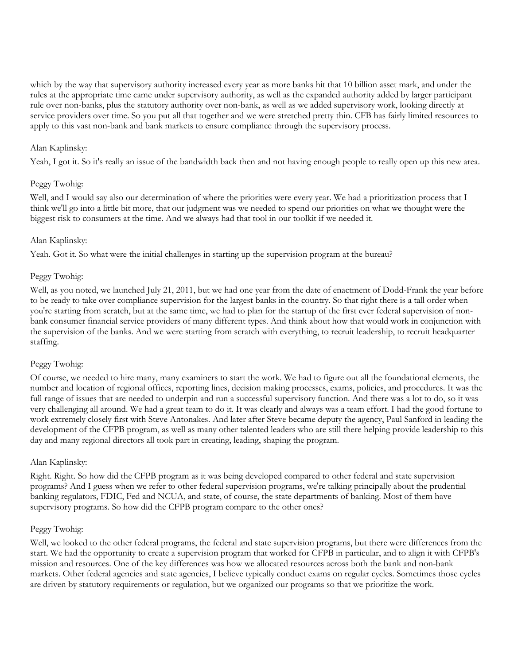which by the way that supervisory authority increased every year as more banks hit that 10 billion asset mark, and under the rules at the appropriate time came under supervisory authority, as well as the expanded authority added by larger participant rule over non-banks, plus the statutory authority over non-bank, as well as we added supervisory work, looking directly at service providers over time. So you put all that together and we were stretched pretty thin. CFB has fairly limited resources to apply to this vast non-bank and bank markets to ensure compliance through the supervisory process.

#### Alan Kaplinsky:

Yeah, I got it. So it's really an issue of the bandwidth back then and not having enough people to really open up this new area.

#### Peggy Twohig:

Well, and I would say also our determination of where the priorities were every year. We had a prioritization process that I think we'll go into a little bit more, that our judgment was we needed to spend our priorities on what we thought were the biggest risk to consumers at the time. And we always had that tool in our toolkit if we needed it.

#### Alan Kaplinsky:

Yeah. Got it. So what were the initial challenges in starting up the supervision program at the bureau?

#### Peggy Twohig:

Well, as you noted, we launched July 21, 2011, but we had one year from the date of enactment of Dodd-Frank the year before to be ready to take over compliance supervision for the largest banks in the country. So that right there is a tall order when you're starting from scratch, but at the same time, we had to plan for the startup of the first ever federal supervision of nonbank consumer financial service providers of many different types. And think about how that would work in conjunction with the supervision of the banks. And we were starting from scratch with everything, to recruit leadership, to recruit headquarter staffing.

## Peggy Twohig:

Of course, we needed to hire many, many examiners to start the work. We had to figure out all the foundational elements, the number and location of regional offices, reporting lines, decision making processes, exams, policies, and procedures. It was the full range of issues that are needed to underpin and run a successful supervisory function. And there was a lot to do, so it was very challenging all around. We had a great team to do it. It was clearly and always was a team effort. I had the good fortune to work extremely closely first with Steve Antonakes. And later after Steve became deputy the agency, Paul Sanford in leading the development of the CFPB program, as well as many other talented leaders who are still there helping provide leadership to this day and many regional directors all took part in creating, leading, shaping the program.

## Alan Kaplinsky:

Right. Right. So how did the CFPB program as it was being developed compared to other federal and state supervision programs? And I guess when we refer to other federal supervision programs, we're talking principally about the prudential banking regulators, FDIC, Fed and NCUA, and state, of course, the state departments of banking. Most of them have supervisory programs. So how did the CFPB program compare to the other ones?

#### Peggy Twohig:

Well, we looked to the other federal programs, the federal and state supervision programs, but there were differences from the start. We had the opportunity to create a supervision program that worked for CFPB in particular, and to align it with CFPB's mission and resources. One of the key differences was how we allocated resources across both the bank and non-bank markets. Other federal agencies and state agencies, I believe typically conduct exams on regular cycles. Sometimes those cycles are driven by statutory requirements or regulation, but we organized our programs so that we prioritize the work.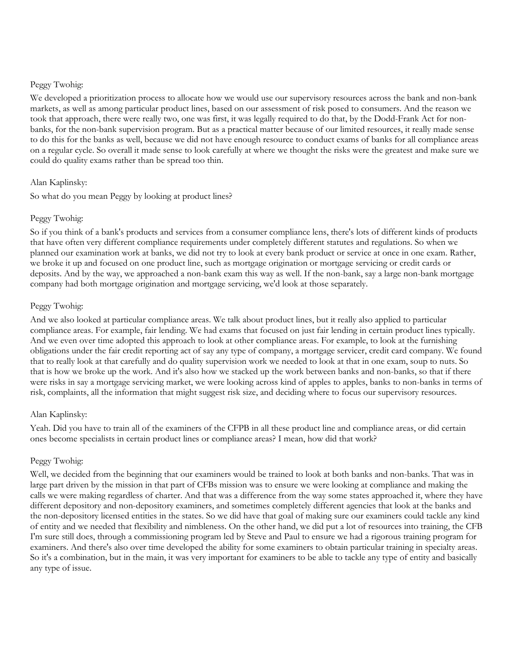#### Peggy Twohig:

We developed a prioritization process to allocate how we would use our supervisory resources across the bank and non-bank markets, as well as among particular product lines, based on our assessment of risk posed to consumers. And the reason we took that approach, there were really two, one was first, it was legally required to do that, by the Dodd-Frank Act for nonbanks, for the non-bank supervision program. But as a practical matter because of our limited resources, it really made sense to do this for the banks as well, because we did not have enough resource to conduct exams of banks for all compliance areas on a regular cycle. So overall it made sense to look carefully at where we thought the risks were the greatest and make sure we could do quality exams rather than be spread too thin.

## Alan Kaplinsky:

So what do you mean Peggy by looking at product lines?

#### Peggy Twohig:

So if you think of a bank's products and services from a consumer compliance lens, there's lots of different kinds of products that have often very different compliance requirements under completely different statutes and regulations. So when we planned our examination work at banks, we did not try to look at every bank product or service at once in one exam. Rather, we broke it up and focused on one product line, such as mortgage origination or mortgage servicing or credit cards or deposits. And by the way, we approached a non-bank exam this way as well. If the non-bank, say a large non-bank mortgage company had both mortgage origination and mortgage servicing, we'd look at those separately.

#### Peggy Twohig:

And we also looked at particular compliance areas. We talk about product lines, but it really also applied to particular compliance areas. For example, fair lending. We had exams that focused on just fair lending in certain product lines typically. And we even over time adopted this approach to look at other compliance areas. For example, to look at the furnishing obligations under the fair credit reporting act of say any type of company, a mortgage servicer, credit card company. We found that to really look at that carefully and do quality supervision work we needed to look at that in one exam, soup to nuts. So that is how we broke up the work. And it's also how we stacked up the work between banks and non-banks, so that if there were risks in say a mortgage servicing market, we were looking across kind of apples to apples, banks to non-banks in terms of risk, complaints, all the information that might suggest risk size, and deciding where to focus our supervisory resources.

#### Alan Kaplinsky:

Yeah. Did you have to train all of the examiners of the CFPB in all these product line and compliance areas, or did certain ones become specialists in certain product lines or compliance areas? I mean, how did that work?

## Peggy Twohig:

Well, we decided from the beginning that our examiners would be trained to look at both banks and non-banks. That was in large part driven by the mission in that part of CFBs mission was to ensure we were looking at compliance and making the calls we were making regardless of charter. And that was a difference from the way some states approached it, where they have different depository and non-depository examiners, and sometimes completely different agencies that look at the banks and the non-depository licensed entities in the states. So we did have that goal of making sure our examiners could tackle any kind of entity and we needed that flexibility and nimbleness. On the other hand, we did put a lot of resources into training, the CFB I'm sure still does, through a commissioning program led by Steve and Paul to ensure we had a rigorous training program for examiners. And there's also over time developed the ability for some examiners to obtain particular training in specialty areas. So it's a combination, but in the main, it was very important for examiners to be able to tackle any type of entity and basically any type of issue.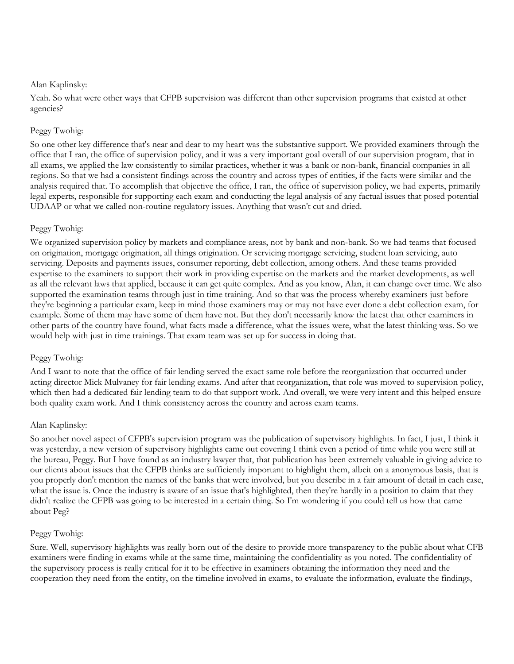Yeah. So what were other ways that CFPB supervision was different than other supervision programs that existed at other agencies?

## Peggy Twohig:

So one other key difference that's near and dear to my heart was the substantive support. We provided examiners through the office that I ran, the office of supervision policy, and it was a very important goal overall of our supervision program, that in all exams, we applied the law consistently to similar practices, whether it was a bank or non-bank, financial companies in all regions. So that we had a consistent findings across the country and across types of entities, if the facts were similar and the analysis required that. To accomplish that objective the office, I ran, the office of supervision policy, we had experts, primarily legal experts, responsible for supporting each exam and conducting the legal analysis of any factual issues that posed potential UDAAP or what we called non-routine regulatory issues. Anything that wasn't cut and dried.

## Peggy Twohig:

We organized supervision policy by markets and compliance areas, not by bank and non-bank. So we had teams that focused on origination, mortgage origination, all things origination. Or servicing mortgage servicing, student loan servicing, auto servicing. Deposits and payments issues, consumer reporting, debt collection, among others. And these teams provided expertise to the examiners to support their work in providing expertise on the markets and the market developments, as well as all the relevant laws that applied, because it can get quite complex. And as you know, Alan, it can change over time. We also supported the examination teams through just in time training. And so that was the process whereby examiners just before they're beginning a particular exam, keep in mind those examiners may or may not have ever done a debt collection exam, for example. Some of them may have some of them have not. But they don't necessarily know the latest that other examiners in other parts of the country have found, what facts made a difference, what the issues were, what the latest thinking was. So we would help with just in time trainings. That exam team was set up for success in doing that.

## Peggy Twohig:

And I want to note that the office of fair lending served the exact same role before the reorganization that occurred under acting director Mick Mulvaney for fair lending exams. And after that reorganization, that role was moved to supervision policy, which then had a dedicated fair lending team to do that support work. And overall, we were very intent and this helped ensure both quality exam work. And I think consistency across the country and across exam teams.

#### Alan Kaplinsky:

So another novel aspect of CFPB's supervision program was the publication of supervisory highlights. In fact, I just, I think it was yesterday, a new version of supervisory highlights came out covering I think even a period of time while you were still at the bureau, Peggy. But I have found as an industry lawyer that, that publication has been extremely valuable in giving advice to our clients about issues that the CFPB thinks are sufficiently important to highlight them, albeit on a anonymous basis, that is you properly don't mention the names of the banks that were involved, but you describe in a fair amount of detail in each case, what the issue is. Once the industry is aware of an issue that's highlighted, then they're hardly in a position to claim that they didn't realize the CFPB was going to be interested in a certain thing. So I'm wondering if you could tell us how that came about Peg?

#### Peggy Twohig:

Sure. Well, supervisory highlights was really born out of the desire to provide more transparency to the public about what CFB examiners were finding in exams while at the same time, maintaining the confidentiality as you noted. The confidentiality of the supervisory process is really critical for it to be effective in examiners obtaining the information they need and the cooperation they need from the entity, on the timeline involved in exams, to evaluate the information, evaluate the findings,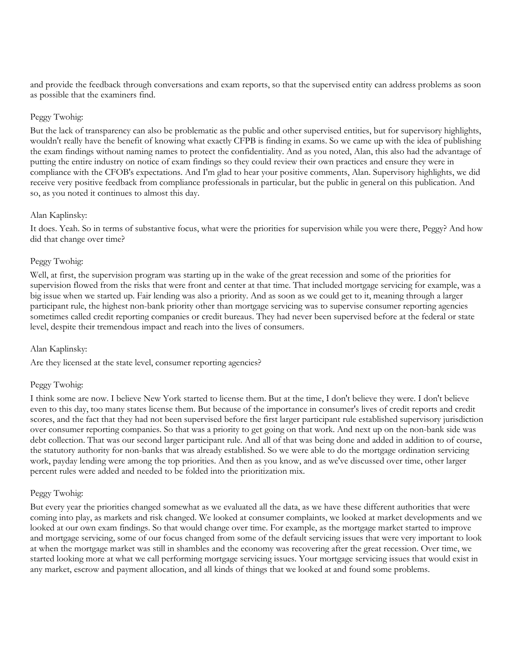and provide the feedback through conversations and exam reports, so that the supervised entity can address problems as soon as possible that the examiners find.

#### Peggy Twohig:

But the lack of transparency can also be problematic as the public and other supervised entities, but for supervisory highlights, wouldn't really have the benefit of knowing what exactly CFPB is finding in exams. So we came up with the idea of publishing the exam findings without naming names to protect the confidentiality. And as you noted, Alan, this also had the advantage of putting the entire industry on notice of exam findings so they could review their own practices and ensure they were in compliance with the CFOB's expectations. And I'm glad to hear your positive comments, Alan. Supervisory highlights, we did receive very positive feedback from compliance professionals in particular, but the public in general on this publication. And so, as you noted it continues to almost this day.

#### Alan Kaplinsky:

It does. Yeah. So in terms of substantive focus, what were the priorities for supervision while you were there, Peggy? And how did that change over time?

#### Peggy Twohig:

Well, at first, the supervision program was starting up in the wake of the great recession and some of the priorities for supervision flowed from the risks that were front and center at that time. That included mortgage servicing for example, was a big issue when we started up. Fair lending was also a priority. And as soon as we could get to it, meaning through a larger participant rule, the highest non-bank priority other than mortgage servicing was to supervise consumer reporting agencies sometimes called credit reporting companies or credit bureaus. They had never been supervised before at the federal or state level, despite their tremendous impact and reach into the lives of consumers.

## Alan Kaplinsky:

Are they licensed at the state level, consumer reporting agencies?

#### Peggy Twohig:

I think some are now. I believe New York started to license them. But at the time, I don't believe they were. I don't believe even to this day, too many states license them. But because of the importance in consumer's lives of credit reports and credit scores, and the fact that they had not been supervised before the first larger participant rule established supervisory jurisdiction over consumer reporting companies. So that was a priority to get going on that work. And next up on the non-bank side was debt collection. That was our second larger participant rule. And all of that was being done and added in addition to of course, the statutory authority for non-banks that was already established. So we were able to do the mortgage ordination servicing work, payday lending were among the top priorities. And then as you know, and as we've discussed over time, other larger percent rules were added and needed to be folded into the prioritization mix.

#### Peggy Twohig:

But every year the priorities changed somewhat as we evaluated all the data, as we have these different authorities that were coming into play, as markets and risk changed. We looked at consumer complaints, we looked at market developments and we looked at our own exam findings. So that would change over time. For example, as the mortgage market started to improve and mortgage servicing, some of our focus changed from some of the default servicing issues that were very important to look at when the mortgage market was still in shambles and the economy was recovering after the great recession. Over time, we started looking more at what we call performing mortgage servicing issues. Your mortgage servicing issues that would exist in any market, escrow and payment allocation, and all kinds of things that we looked at and found some problems.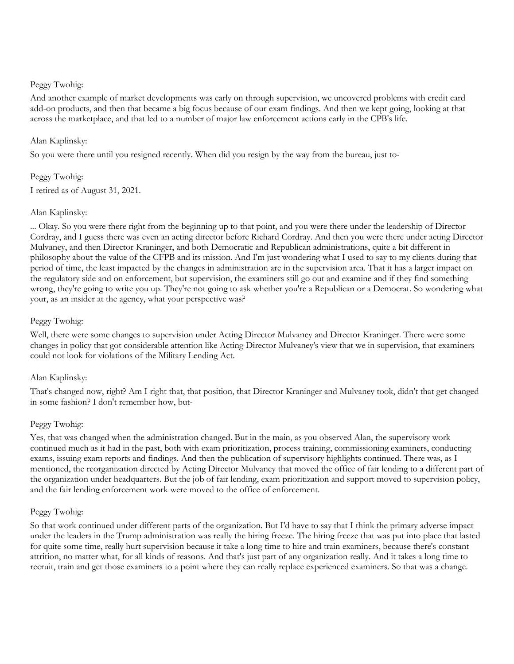### Peggy Twohig:

And another example of market developments was early on through supervision, we uncovered problems with credit card add-on products, and then that became a big focus because of our exam findings. And then we kept going, looking at that across the marketplace, and that led to a number of major law enforcement actions early in the CPB's life.

#### Alan Kaplinsky:

So you were there until you resigned recently. When did you resign by the way from the bureau, just to-

Peggy Twohig: I retired as of August 31, 2021.

#### Alan Kaplinsky:

... Okay. So you were there right from the beginning up to that point, and you were there under the leadership of Director Cordray, and I guess there was even an acting director before Richard Cordray. And then you were there under acting Director Mulvaney, and then Director Kraninger, and both Democratic and Republican administrations, quite a bit different in philosophy about the value of the CFPB and its mission. And I'm just wondering what I used to say to my clients during that period of time, the least impacted by the changes in administration are in the supervision area. That it has a larger impact on the regulatory side and on enforcement, but supervision, the examiners still go out and examine and if they find something wrong, they're going to write you up. They're not going to ask whether you're a Republican or a Democrat. So wondering what your, as an insider at the agency, what your perspective was?

## Peggy Twohig:

Well, there were some changes to supervision under Acting Director Mulvaney and Director Kraninger. There were some changes in policy that got considerable attention like Acting Director Mulvaney's view that we in supervision, that examiners could not look for violations of the Military Lending Act.

## Alan Kaplinsky:

That's changed now, right? Am I right that, that position, that Director Kraninger and Mulvaney took, didn't that get changed in some fashion? I don't remember how, but-

## Peggy Twohig:

Yes, that was changed when the administration changed. But in the main, as you observed Alan, the supervisory work continued much as it had in the past, both with exam prioritization, process training, commissioning examiners, conducting exams, issuing exam reports and findings. And then the publication of supervisory highlights continued. There was, as I mentioned, the reorganization directed by Acting Director Mulvaney that moved the office of fair lending to a different part of the organization under headquarters. But the job of fair lending, exam prioritization and support moved to supervision policy, and the fair lending enforcement work were moved to the office of enforcement.

#### Peggy Twohig:

So that work continued under different parts of the organization. But I'd have to say that I think the primary adverse impact under the leaders in the Trump administration was really the hiring freeze. The hiring freeze that was put into place that lasted for quite some time, really hurt supervision because it take a long time to hire and train examiners, because there's constant attrition, no matter what, for all kinds of reasons. And that's just part of any organization really. And it takes a long time to recruit, train and get those examiners to a point where they can really replace experienced examiners. So that was a change.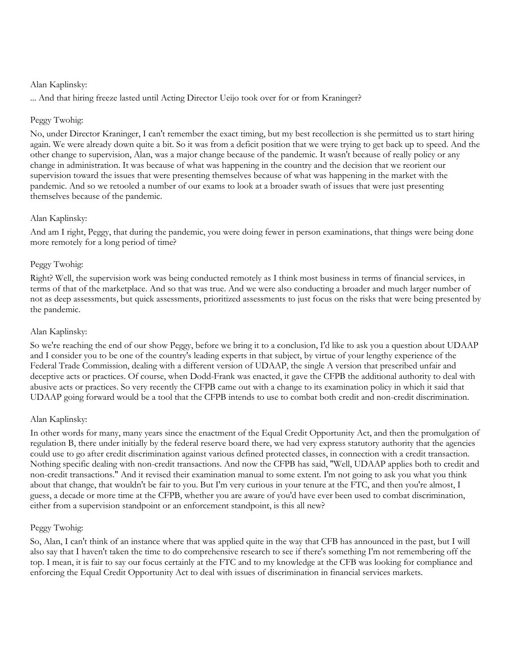... And that hiring freeze lasted until Acting Director Ueijo took over for or from Kraninger?

## Peggy Twohig:

No, under Director Kraninger, I can't remember the exact timing, but my best recollection is she permitted us to start hiring again. We were already down quite a bit. So it was from a deficit position that we were trying to get back up to speed. And the other change to supervision, Alan, was a major change because of the pandemic. It wasn't because of really policy or any change in administration. It was because of what was happening in the country and the decision that we reorient our supervision toward the issues that were presenting themselves because of what was happening in the market with the pandemic. And so we retooled a number of our exams to look at a broader swath of issues that were just presenting themselves because of the pandemic.

## Alan Kaplinsky:

And am I right, Peggy, that during the pandemic, you were doing fewer in person examinations, that things were being done more remotely for a long period of time?

## Peggy Twohig:

Right? Well, the supervision work was being conducted remotely as I think most business in terms of financial services, in terms of that of the marketplace. And so that was true. And we were also conducting a broader and much larger number of not as deep assessments, but quick assessments, prioritized assessments to just focus on the risks that were being presented by the pandemic.

## Alan Kaplinsky:

So we're reaching the end of our show Peggy, before we bring it to a conclusion, I'd like to ask you a question about UDAAP and I consider you to be one of the country's leading experts in that subject, by virtue of your lengthy experience of the Federal Trade Commission, dealing with a different version of UDAAP, the single A version that prescribed unfair and deceptive acts or practices. Of course, when Dodd-Frank was enacted, it gave the CFPB the additional authority to deal with abusive acts or practices. So very recently the CFPB came out with a change to its examination policy in which it said that UDAAP going forward would be a tool that the CFPB intends to use to combat both credit and non-credit discrimination.

## Alan Kaplinsky:

In other words for many, many years since the enactment of the Equal Credit Opportunity Act, and then the promulgation of regulation B, there under initially by the federal reserve board there, we had very express statutory authority that the agencies could use to go after credit discrimination against various defined protected classes, in connection with a credit transaction. Nothing specific dealing with non-credit transactions. And now the CFPB has said, "Well, UDAAP applies both to credit and non-credit transactions." And it revised their examination manual to some extent. I'm not going to ask you what you think about that change, that wouldn't be fair to you. But I'm very curious in your tenure at the FTC, and then you're almost, I guess, a decade or more time at the CFPB, whether you are aware of you'd have ever been used to combat discrimination, either from a supervision standpoint or an enforcement standpoint, is this all new?

## Peggy Twohig:

So, Alan, I can't think of an instance where that was applied quite in the way that CFB has announced in the past, but I will also say that I haven't taken the time to do comprehensive research to see if there's something I'm not remembering off the top. I mean, it is fair to say our focus certainly at the FTC and to my knowledge at the CFB was looking for compliance and enforcing the Equal Credit Opportunity Act to deal with issues of discrimination in financial services markets.